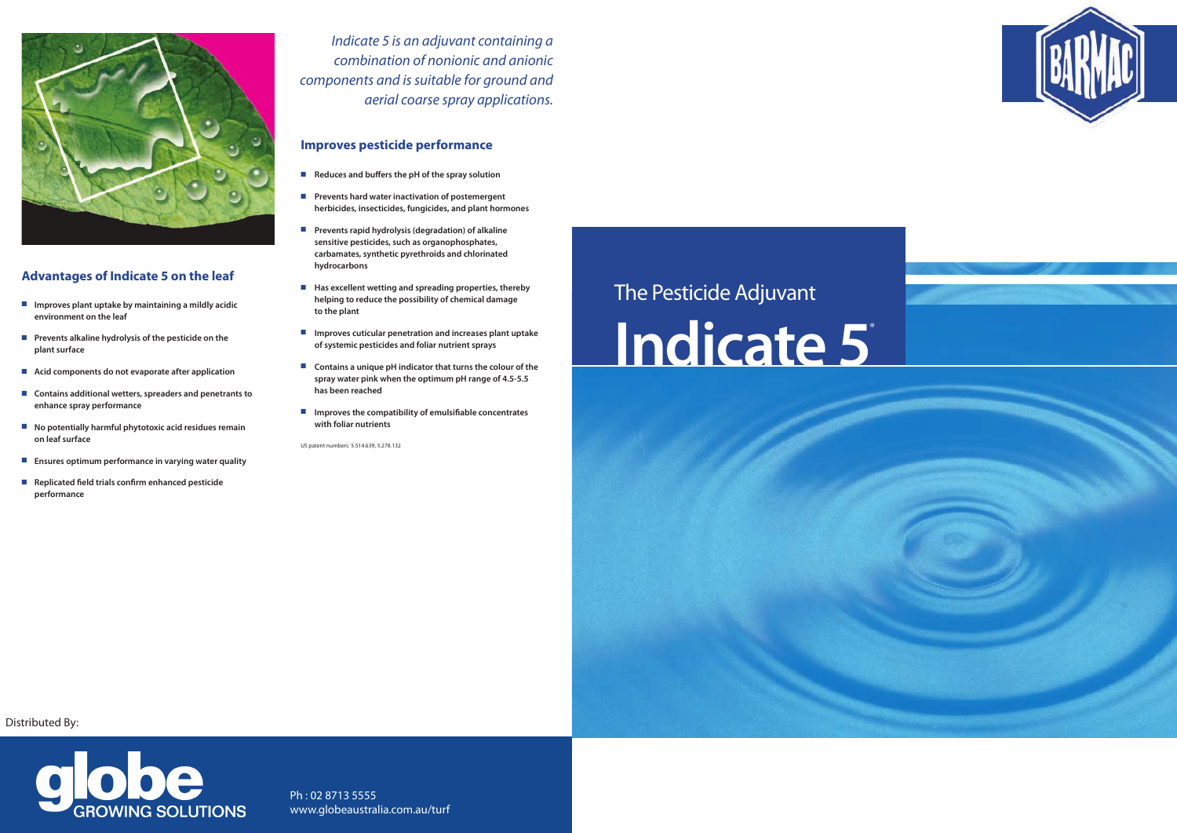# The Pesticide Adjuvant **Indicate 5**®



#### **Advantages of Indicate 5 on the leaf**

- **n** Improves plant uptake by maintaining a mildly acidic **environment on the leaf**
- **n** Prevents alkaline hydrolysis of the pesticide on the **plant surface**
- Acid components do not evaporate after application
- Contains additional wetters, spreaders and penetrants to **enhance spray performance**
- No potentially harmful phytotoxic acid residues remain **on leaf surface**
- **Ensures optimum performance in varying water quality**
- Replicated field trials confirm enhanced pesticide **performance**

#### **Improves pesticide performance**

- **n** Reduces and buffers the pH of the spray solution
- **n** Prevents hard water inactivation of postemergent **herbicides, insecticides, fungicides, and plant hormones**
- Prevents rapid hydrolysis (degradation) of alkaline **sensitive pesticides, such as organophosphates, carbamates, synthetic pyrethroids and chlorinated hydrocarbons**
- Has excellent wetting and spreading properties, thereby **helping to reduce the possibility of chemical damage to the plant**
- Improves cuticular penetration and increases plant uptake **of systemic pesticides and foliar nutrient sprays**
- Contains a unique pH indicator that turns the colour of the **spray water pink when the optimum pH range of 4.5-5.5 has been reached**
- $\blacksquare$  Improves the compatibility of emulsifiable concentrates **with foliar nutrients**

US patent numbers: 5 .514 .639, 5 .278 .132

*Indicate 5 is an adjuvant containing a combination of nonionic and anionic components and is suitable for ground and aerial coarse spray applications.*

Ph : 02 8713 5555 www.globeaustralia.com.au/turf





Distributed By: